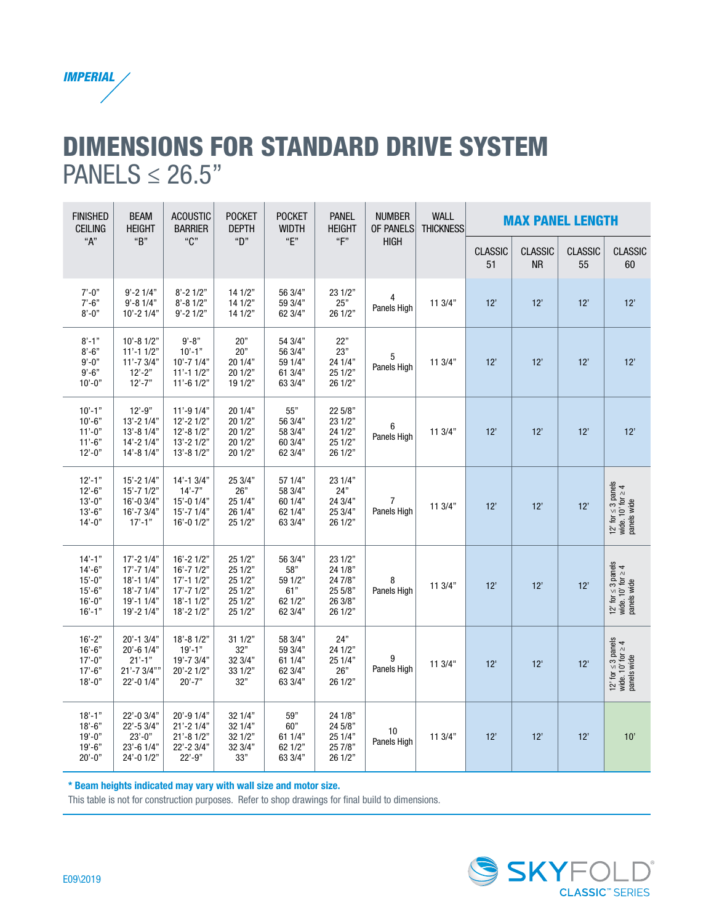

### DIMENSIONS FOR STANDARD DRIVE SYSTEM  $PANELS \leq 26.5"$

| <b>FINISHED</b><br><b>CEILING</b>                                               | <b>BEAM</b><br><b>HEIGHT</b>                                                                       | <b>ACOUSTIC</b><br><b>BARRIER</b>                                                                  |                                                                | <b>POCKET</b><br><b>POCKET</b><br><b>DEPTH</b><br><b>WIDTH</b> | <b>PANEL</b><br><b>HEIGHT</b>                                  | <b>NUMBER</b><br>OF PANELS    | <b>WALL</b><br><b>THICKNESS</b> | <b>MAX PANEL LENGTH</b> |                             |                      |                                                                  |
|---------------------------------------------------------------------------------|----------------------------------------------------------------------------------------------------|----------------------------------------------------------------------------------------------------|----------------------------------------------------------------|----------------------------------------------------------------|----------------------------------------------------------------|-------------------------------|---------------------------------|-------------------------|-----------------------------|----------------------|------------------------------------------------------------------|
| A''                                                                             | "B"                                                                                                | "C"                                                                                                | "D"                                                            | "E"                                                            | ``F"                                                           | <b>HIGH</b>                   |                                 | <b>CLASSIC</b><br>51    | <b>CLASSIC</b><br><b>NR</b> | <b>CLASSIC</b><br>55 | <b>CLASSIC</b><br>60                                             |
| $7' - 0''$<br>$7'-6"$<br>$8' - 0''$                                             | $9' - 21/4"$<br>$9' - 81/4"$<br>$10' - 21/4"$                                                      | $8' - 21/2"$<br>$8' - 81/2"$<br>$9' - 21/2"$                                                       | 14 1/2"<br>14 1/2"<br>14 1/2"                                  | 56 3/4"<br>59 3/4"<br>62 3/4"                                  | 23 1/2"<br>25"<br>26 1/2"                                      | 4<br>Panels High              | 11.3/4"                         | 12'                     | 12'                         | 12'                  | 12'                                                              |
| $8' - 1"$<br>$8 - 6"$<br>$9' - 0''$<br>$9' - 6"$<br>$10 - 0$ "                  | $10' - 81/2"$<br>$11' - 11/2"$<br>$11' - 73/4"$<br>$12 - 2"$<br>$12 - 7"$                          | $9' - 8"$<br>$10' - 1"$<br>$10' - 71/4"$<br>$11' - 11/2"$<br>$11'-6$ $1/2"$                        | 20"<br>20"<br>20 1/4"<br>201/2"<br>19 1/2"                     | 54 3/4"<br>56 3/4"<br>59 1/4"<br>61 3/4"<br>63 3/4"            | 22"<br>23"<br>24 1/4"<br>25 1/2"<br>26 1/2"                    | 5<br>Panels High              | 113/4"                          | 12'                     | 12'                         | 12'                  | 12'                                                              |
| $10' - 1"$<br>$10' - 6"$<br>$11'-0"$<br>$11'-6"$<br>$12' - 0''$                 | $12' - 9''$<br>$13' - 21/4"$<br>$13' - 81/4"$<br>$14' - 21/4"$<br>$14' - 81/4"$                    | $11' - 91/4"$<br>$12' - 21/2"$<br>$12' - 81/2"$<br>$13' - 21/2"$<br>$13' - 81/2"$                  | 201/4"<br>20 1/2"<br>20 1/2"<br>20 1/2"<br>20 1/2"             | 55"<br>56 3/4"<br>58 3/4"<br>60 3/4"<br>62 3/4"                | 22 5/8"<br>23 1/2"<br>24 1/2"<br>25 1/2"<br>26 1/2"            | 6<br>Panels High              | 11 3/4"                         | 12'                     | 12'                         | 12'                  | 12'                                                              |
| $12' - 1"$<br>$12 - 6$ "<br>$13 - 0$ "<br>$13'-6"$<br>$14 - 0$ "                | $15' - 21/4"$<br>$15' - 71/2"$<br>$16' - 0.3/4"$<br>$16' - 73/4"$<br>$17' - 1"$                    | $14' - 13/4"$<br>$14' - 7"$<br>$15' - 0$ $1/4"$<br>$15' - 71/4"$<br>$16' - 01/2"$                  | 25 3/4"<br>26"<br>25 1/4"<br>26 1/4"<br>25 1/2"                | 57 1/4"<br>58 3/4"<br>60 1/4"<br>62 1/4"<br>63 3/4"            | 23 1/4"<br>24"<br>24 3/4"<br>25 3/4"<br>26 1/2"                | $\overline{7}$<br>Panels High | 113/4"                          | 12'                     | 12'                         | 12'                  | 12' for $\leq$ 3 panels<br>wide. 10' for $\geq$ 4<br>panels wide |
| $14' - 1''$<br>$14' - 6"$<br>$15' - 0''$<br>$15 - 6"$<br>$16'-0"$<br>$16' - 1"$ | $17' - 21/4"$<br>$17' - 71/4"$<br>$18' - 11/4"$<br>$18' - 71/4"$<br>$19' - 11/4"$<br>$19' - 21/4"$ | $16' - 21/2"$<br>$16' - 71/2"$<br>$17' - 11/2"$<br>$17' - 71/2"$<br>$18' - 11/2"$<br>$18' - 21/2"$ | 25 1/2"<br>25 1/2"<br>25 1/2"<br>25 1/2"<br>25 1/2"<br>25 1/2" | 56 3/4"<br>58"<br>59 1/2"<br>61"<br>62 1/2"<br>62 3/4"         | 23 1/2"<br>24 1/8"<br>24 7/8"<br>25 5/8"<br>26 3/8"<br>26 1/2" | 8<br>Panels High              | 113/4"                          | 12'                     | 12'                         | 12'                  | 12' for $\leq$ 3 panels<br>wide. 10' for $\geq$ 4<br>panels wide |
| $16' - 2"$<br>$16'-6"$<br>$17' - 0''$<br>$17' - 6"$<br>$18' - 0"$               | $20' - 13/4"$<br>20'-6 1/4"<br>$21' - 1"$<br>$21' - 73/4"$<br>22'-0 1/4"                           | $18' - 81/2"$<br>$19' - 1"$<br>$19' - 73/4"$<br>$20' - 21/2"$<br>$20' - 7"$                        | 311/2"<br>32"<br>32 3/4"<br>33 1/2"<br>32"                     | 58 3/4"<br>59 3/4"<br>61 1/4"<br>62 3/4"<br>63 3/4"            | 24"<br>24 1/2"<br>251/4"<br>26"<br>26 1/2"                     | 9<br>Panels High              | 11 3/4"                         | 12'                     | 12'                         | 12'                  | 12' for $\leq$ 3 panels<br>wide. 10' for $\geq$ 4<br>panels wide |
| $18' - 1"$<br>$18 - 6$ "<br>$19' - 0''$<br>$19' - 6"$<br>$20' - 0''$            | 22'-0 3/4"<br>22'-5 3/4"<br>$23'-0$ "<br>$23' - 61/4"$<br>24'-0 1/2"                               | 20'-9 1/4"<br>$21' - 21'$<br>$21' - 81/2"$<br>22'-2 3/4"<br>$22'-9"$                               | 32 1/4"<br>32 1/4"<br>32 1/2"<br>32 3/4"<br>33"                | 59"<br>60"<br>61 1/4"<br>62 1/2"<br>63 3/4"                    | 24 1/8"<br>24 5/8"<br>25 1/4"<br>25 7/8"<br>26 1/2"            | 10<br>Panels High             | 113/4"                          | 12'                     | 12'                         | 12'                  | 10'                                                              |

\* Beam heights indicated may vary with wall size and motor size.

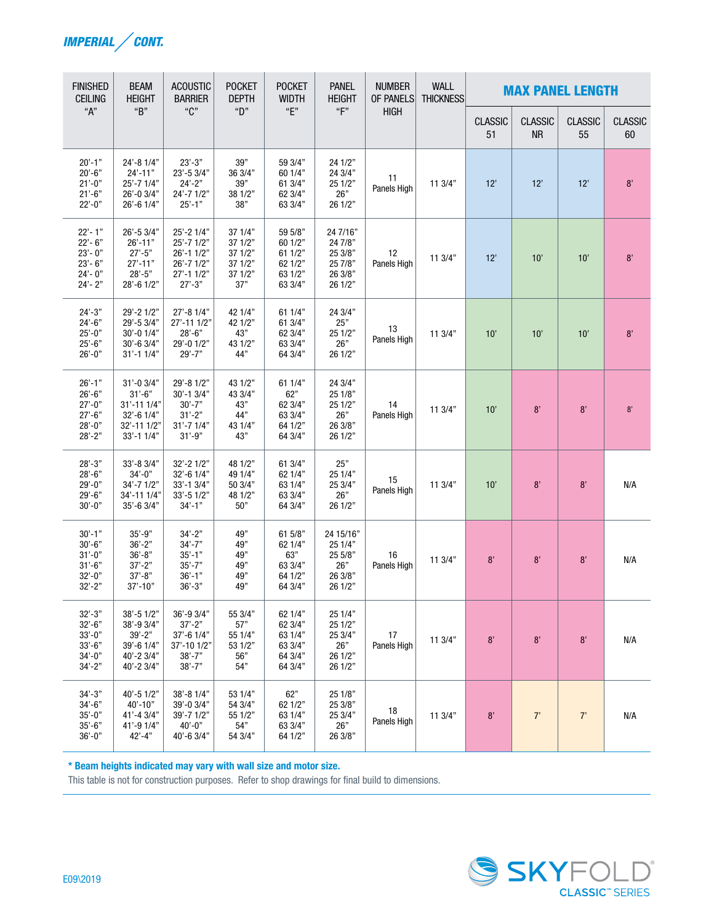

| <b>FINISHED</b><br><b>CEILING</b>                                                | <b>BEAM</b><br><b>HEIGHT</b>                                                                   | <b>ACOUSTIC</b><br><b>BARRIER</b>                                                      | <b>POCKET</b><br><b>DEPTH</b>                              | <b>POCKET</b><br><b>WIDTH</b>                                  | <b>PANEL</b><br><b>HEIGHT</b>                                   | <b>NUMBER</b><br><b>OF PANELS</b> | <b>WALL</b><br><b>THICKNESS</b> | <b>MAX PANEL LENGTH</b> |                             |                      |                      |  |  |
|----------------------------------------------------------------------------------|------------------------------------------------------------------------------------------------|----------------------------------------------------------------------------------------|------------------------------------------------------------|----------------------------------------------------------------|-----------------------------------------------------------------|-----------------------------------|---------------------------------|-------------------------|-----------------------------|----------------------|----------------------|--|--|
| "A"                                                                              | "B"                                                                                            | "C"                                                                                    | "D"                                                        | "E"<br>``F"                                                    |                                                                 | <b>HIGH</b>                       |                                 | <b>CLASSIC</b><br>51    | <b>CLASSIC</b><br><b>NR</b> | <b>CLASSIC</b><br>55 | <b>CLASSIC</b><br>60 |  |  |
| $20' - 1"$<br>$20' - 6"$<br>$21'-0$ "<br>$21'-6"$<br>$22'-0$ "                   | 24'-8 1/4"<br>$24' - 11"$<br>25'-7 1/4"<br>26'-0 3/4"<br>$26' - 61/4"$                         | $23'-3"$<br>23'-5 3/4"<br>$24'-2"$<br>$24' - 71/2"$<br>$25' - 1"$                      | 39"<br>36 3/4"<br>39"<br>38 1/2"<br>38"                    | 59 3/4"<br>60 1/4"<br>61 3/4"<br>62 3/4"<br>63 3/4"            | 24 1/2"<br>24 3/4"<br>25 1/2"<br>26"<br>26 1/2"                 | 11<br>Panels High                 | 113/4"                          | 12'                     | 12'                         | 12'                  | $8'$                 |  |  |
| $22 - 1"$<br>$22 - 6"$<br>$23 - 0$ "<br>$23 - 6"$<br>$24 - 0"$<br>$24 - 2"$      | 26'-5 3/4"<br>$26' - 11"$<br>$27' - 5"$<br>$27' - 11"$<br>$28 - 5"$<br>28'-6 1/2"              | 25'-2 1/4"<br>25'-7 1/2"<br>$26' - 11/2"$<br>26'-7 1/2"<br>$27' - 11/2"$<br>$27' - 3"$ | 37 1/4"<br>37 1/2"<br>37 1/2"<br>37 1/2"<br>37 1/2"<br>37" | 59 5/8"<br>60 1/2"<br>611/2"<br>62 1/2"<br>63 1/2"<br>63 3/4"  | 24 7/16"<br>24 7/8"<br>25 3/8"<br>25 7/8"<br>26 3/8"<br>26 1/2" | 12<br>Panels High                 | 11 3/4"                         | 12'                     | 10'                         | 10'                  | 8'                   |  |  |
| $24'-3"$<br>$24'-6"$<br>$25'-0$ "<br>$25'-6"$<br>$26'-0"$                        | 29'-2 1/2"<br>29'-5 3/4"<br>$30' - 01/4"$<br>$30' - 63/4"$<br>$31' - 11/4"$                    | $27' - 81/4"$<br>27'-11 1/2"<br>$28' - 6"$<br>29'-0 1/2"<br>$29' - 7"$                 | 42 1/4"<br>42 1/2"<br>43"<br>43 1/2"<br>44"                | 61 1/4"<br>61 3/4"<br>62 3/4"<br>63 3/4"<br>64 3/4"            | 24 3/4"<br>25"<br>25 1/2"<br>26"<br>26 1/2"                     | 13<br>Panels High                 | 11 3/4"                         | 10'                     | 10'                         | 10'                  | 8'                   |  |  |
| $26' - 1"$<br>$26' - 6"$<br>$27' - 0''$<br>$27' - 6"$<br>$28 - 0$ "<br>$28 - 2"$ | $31' - 03/4"$<br>$31' - 6"$<br>31'-11 1/4"<br>$32' - 6$ $1/4"$<br>32'-11 1/2"<br>$33' - 11/4"$ | 29'-8 1/2"<br>30'-1 3/4"<br>$30' - 7"$<br>$31'-2"$<br>$31' - 71/4"$<br>$31' - 9''$     | 43 1/2"<br>43 3/4"<br>43"<br>44"<br>43 1/4"<br>43"         | 61 1/4"<br>62"<br>62 3/4"<br>63 3/4"<br>64 1/2"<br>64 3/4"     | 24 3/4"<br>25 1/8"<br>25 1/2"<br>26"<br>26 3/8"<br>26 1/2"      | 14<br>Panels High                 | 11 3/4"                         | 10'                     | 8'                          | 8'                   | 8'                   |  |  |
| $28 - 3"$<br>$28' - 6"$<br>$29' - 0''$<br>$29' - 6"$<br>$30'-0$ "                | $33' - 83/4"$<br>$34' - 0''$<br>$34' - 71/2"$<br>34'-11 1/4"<br>$35' - 63/4"$                  | $32' - 21/2"$<br>32'-6 1/4"<br>33'-1 3/4"<br>$33' - 51/2"$<br>$34' - 1"$               | 48 1/2"<br>49 1/4"<br>50 3/4"<br>48 1/2"<br>50"            | 61 3/4"<br>62 1/4"<br>63 1/4"<br>63 3/4"<br>64 3/4"            | 25"<br>25 1/4"<br>25 3/4"<br>26"<br>26 1/2"                     | 15<br>Panels High                 | 113/4"                          | 10'                     | 8'                          | 8'                   | N/A                  |  |  |
| $30' - 1"$<br>$30'-6"$<br>$31' - 0''$<br>$31' - 6"$<br>$32 - 0$ "<br>$32 - 2"$   | $35' - 9"$<br>$36' - 2"$<br>$36' - 8"$<br>$37' - 2"$<br>$37' - 8"$<br>37'-10"                  | $34' - 2"$<br>$34' - 7''$<br>$35' - 1"$<br>$35' - 7"$<br>$36' - 1"$<br>$36' - 3"$      | 49"<br>49"<br>49"<br>49"<br>49"<br>49"                     | 61 5/8"<br>62 1/4"<br>63"<br>63 3/4"<br>64 1/2"<br>64 3/4"     | 24 15/16"<br>25 1/4"<br>25 5/8"<br>26"<br>26 3/8"<br>26 1/2"    | 16<br>Panels High                 | 113/4"                          | 8'                      | 8'                          | 8'                   | N/A                  |  |  |
| $32' - 3"$<br>$32'-6"$<br>$33'-0$ "<br>$33'-6"$<br>$34' - 0''$<br>$34'-2"$       | $38' - 51/2"$<br>38'-9 3/4"<br>$39' - 2"$<br>39'-6 1/4"<br>40'-2 3/4"<br>$40' - 23/4"$         | 36'-9 3/4"<br>$37' - 2"$<br>37'-6 1/4"<br>37'-10 1/2"<br>$38' - 7"$<br>$38' - 7"$      | 55 3/4"<br>57"<br>55 1/4"<br>53 1/2"<br>56"<br>54"         | 62 1/4"<br>62 3/4"<br>63 1/4"<br>63 3/4"<br>64 3/4"<br>64 3/4" | 25 1/4"<br>25 1/2"<br>25 3/4"<br>26"<br>26 1/2"<br>26 1/2"      | 17<br>Panels High                 | 11 3/4"                         | 8'                      | 8'                          | 8'                   | N/A                  |  |  |
| $34' - 3"$<br>$34' - 6"$<br>$35'-0$ "<br>$35'-6"$<br>$36'-0$ "                   | 40'-5 1/2"<br>$40' - 10"$<br>41'-4 3/4"<br>41'-9 1/4"<br>$42 - 4"$                             | 38'-8 1/4"<br>39'-0 3/4"<br>39'-7 1/2"<br>$40'-0$ "<br>40'-6 3/4"                      | 53 1/4"<br>54 3/4"<br>55 1/2"<br>54"<br>54 3/4"            | 62"<br>62 1/2"<br>63 1/4"<br>63 3/4"<br>64 1/2"                | 25 1/8"<br>25 3/8"<br>25 3/4"<br>26"<br>26 3/8"                 | 18<br>Panels High                 | 11.3/4"                         | 8'                      | 7'                          | 7'                   | N/A                  |  |  |

\* Beam heights indicated may vary with wall size and motor size.

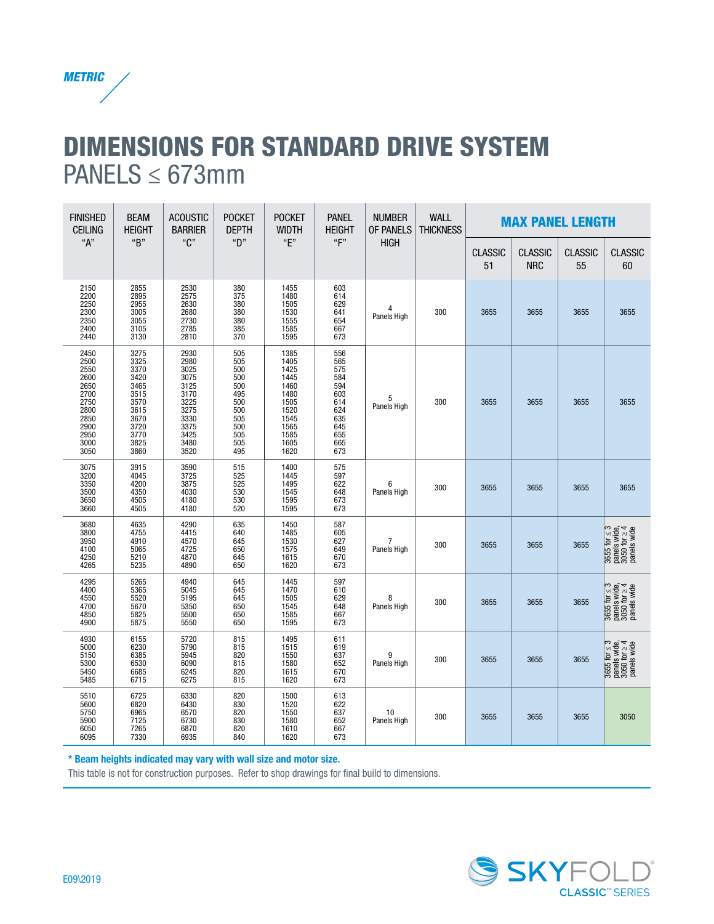

## DIMENSIONS FOR STANDARD DRIVE SYSTEM PANELS  $\leq 673$ mm

| <b>FINISHED</b><br><b>CEILING</b>                                                                    | <b>BEAM</b><br><b>HEIGHT</b>                                                                         | <b>ACOUSTIC</b><br><b>BARRIER</b>                                                                    | <b>POCKET</b><br><b>DEPTH</b>                                                           | <b>POCKET</b><br><b>WIDTH</b>                                                                        | <b>PANEL</b><br><b>HEIGHT</b>                                                           | <b>NUMBER</b><br><b>OF PANELS</b> | <b>WALL</b><br><b>THICKNESS</b> | <b>MAX PANEL LENGTH</b> |                              |                      |                                                                                                                            |
|------------------------------------------------------------------------------------------------------|------------------------------------------------------------------------------------------------------|------------------------------------------------------------------------------------------------------|-----------------------------------------------------------------------------------------|------------------------------------------------------------------------------------------------------|-----------------------------------------------------------------------------------------|-----------------------------------|---------------------------------|-------------------------|------------------------------|----------------------|----------------------------------------------------------------------------------------------------------------------------|
| "A"                                                                                                  | "B"                                                                                                  | "C"                                                                                                  | "D"                                                                                     | "E"                                                                                                  | ``F"                                                                                    | <b>HIGH</b>                       |                                 | <b>CLASSIC</b><br>51    | <b>CLASSIC</b><br><b>NRC</b> | <b>CLASSIC</b><br>55 | <b>CLASSIC</b><br>60                                                                                                       |
| 2150<br>2200<br>2250<br>2300<br>2350<br>2400<br>2440                                                 | 2855<br>2895<br>2955<br>3005<br>3055<br>3105<br>3130                                                 | 2530<br>2575<br>2630<br>2680<br>2730<br>2785<br>2810                                                 | 380<br>375<br>380<br>380<br>380<br>385<br>370                                           | 1455<br>1480<br>1505<br>1530<br>1555<br>1585<br>1595                                                 | 603<br>614<br>629<br>641<br>654<br>667<br>673                                           | 4<br>Panels High                  | 300                             | 3655                    | 3655                         | 3655                 | 3655                                                                                                                       |
| 2450<br>2500<br>2550<br>2600<br>2650<br>2700<br>2750<br>2800<br>2850<br>2900<br>2950<br>3000<br>3050 | 3275<br>3325<br>3370<br>3420<br>3465<br>3515<br>3570<br>3615<br>3670<br>3720<br>3770<br>3825<br>3860 | 2930<br>2980<br>3025<br>3075<br>3125<br>3170<br>3225<br>3275<br>3330<br>3375<br>3425<br>3480<br>3520 | 505<br>505<br>500<br>500<br>500<br>495<br>500<br>500<br>505<br>500<br>505<br>505<br>495 | 1385<br>1405<br>1425<br>1445<br>1460<br>1480<br>1505<br>1520<br>1545<br>1565<br>1585<br>1605<br>1620 | 556<br>565<br>575<br>584<br>594<br>603<br>614<br>624<br>635<br>645<br>655<br>665<br>673 | 5<br>Panels High                  | 300                             | 3655                    | 3655                         | 3655                 | 3655                                                                                                                       |
| 3075<br>3200<br>3350<br>3500<br>3650<br>3660                                                         | 3915<br>4045<br>4200<br>4350<br>4505<br>4505                                                         | 3590<br>3725<br>3875<br>4030<br>4180<br>4180                                                         | 515<br>525<br>525<br>530<br>530<br>520                                                  | 1400<br>1445<br>1495<br>1545<br>1595<br>1595                                                         | 575<br>597<br>622<br>648<br>673<br>673                                                  | 6<br>Panels High                  | 300                             | 3655                    | 3655                         | 3655                 | 3655                                                                                                                       |
| 3680<br>3800<br>3950<br>4100<br>4250<br>4265                                                         | 4635<br>4755<br>4910<br>5065<br>5210<br>5235                                                         | 4290<br>4415<br>4570<br>4725<br>4870<br>4890                                                         | 635<br>640<br>645<br>650<br>645<br>650                                                  | 1450<br>1485<br>1530<br>1575<br>1615<br>1620                                                         | 587<br>605<br>627<br>649<br>670<br>673                                                  | 7<br>Panels High                  | 300                             | 3655                    | 3655                         | 3655                 | 3655 for $\leq$ 3<br>panels wide,<br>3050 for $\geq$ 4<br>panels wide                                                      |
| 4295<br>4400<br>4550<br>4700<br>4850<br>4900                                                         | 5265<br>5365<br>5520<br>5670<br>5825<br>5875                                                         | 4940<br>5045<br>5195<br>5350<br>5500<br>5550                                                         | 645<br>645<br>645<br>650<br>650<br>650                                                  | 1445<br>1470<br>1505<br>1545<br>1585<br>1595                                                         | 597<br>610<br>629<br>648<br>667<br>673                                                  | 8<br>Panels High                  | 300                             | 3655                    | 3655                         | 3655                 | 3655 for $\leq 3$<br>panels wide,<br>3050 for $\geq 4$<br>panels wide                                                      |
| 4930<br>5000<br>5150<br>5300<br>5450<br>5485                                                         | 6155<br>6230<br>6385<br>6530<br>6685<br>6715                                                         | 5720<br>5790<br>5945<br>6090<br>6245<br>6275                                                         | 815<br>815<br>820<br>815<br>820<br>815                                                  | 1495<br>1515<br>1550<br>1580<br>1615<br>1620                                                         | 611<br>619<br>637<br>652<br>670<br>673                                                  | 9<br>Panels High                  | 300                             | 3655                    | 3655                         | 3655                 | $\frac{3655 \text{ for } \leq 3}{3050 \text{ for } \geq 4}$<br>$\frac{3050 \text{ for } \geq 4}{2050 \text{ for } \geq 4}$ |
| 5510<br>5600<br>5750<br>5900<br>6050<br>6095                                                         | 6725<br>6820<br>6965<br>7125<br>7265<br>7330                                                         | 6330<br>6430<br>6570<br>6730<br>6870<br>6935                                                         | 820<br>830<br>820<br>830<br>820<br>840                                                  | 1500<br>1520<br>1550<br>1580<br>1610<br>1620                                                         | 613<br>622<br>637<br>652<br>667<br>673                                                  | 10<br>Panels High                 | 300                             | 3655                    | 3655                         | 3655                 | 3050                                                                                                                       |

\* Beam heights indicated may vary with wall size and motor size.

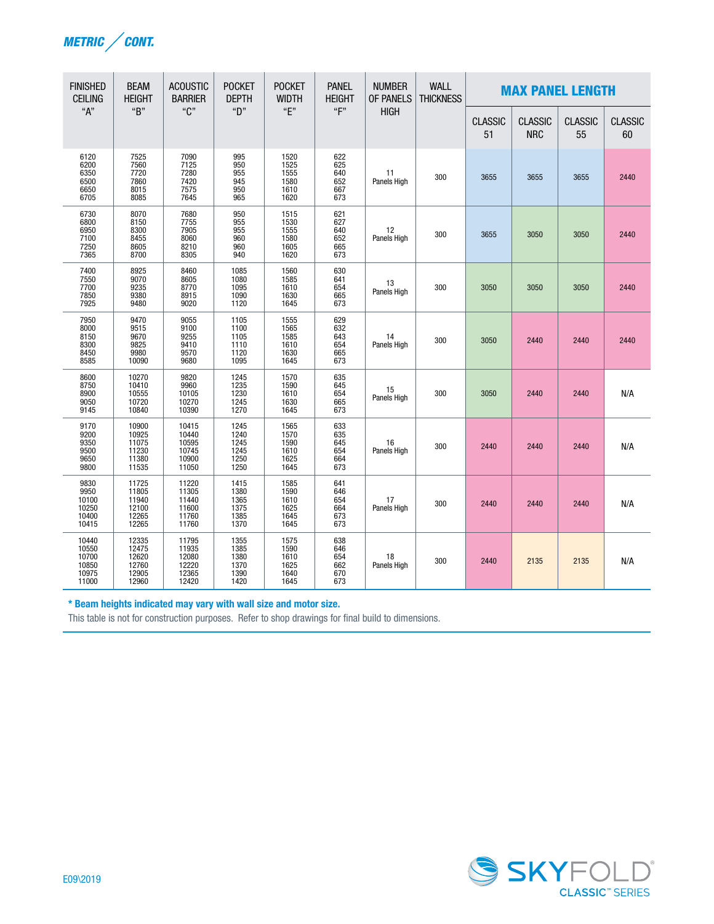

| <b>FINISHED</b><br><b>CEILING</b>                    | <b>BEAM</b><br><b>HEIGHT</b>                       | <b>ACOUSTIC</b><br><b>BARRIER</b>                  | <b>POCKET</b><br><b>DEPTH</b>                | <b>POCKET</b><br><b>WIDTH</b>                | <b>PANEL</b><br><b>HEIGHT</b>                 | <b>NUMBER</b><br><b>OF PANELS</b> | <b>WALL</b><br><b>THICKNESS</b> | <b>MAX PANEL LENGTH</b> |                              |                      |                      |
|------------------------------------------------------|----------------------------------------------------|----------------------------------------------------|----------------------------------------------|----------------------------------------------|-----------------------------------------------|-----------------------------------|---------------------------------|-------------------------|------------------------------|----------------------|----------------------|
| "A"                                                  | "B"                                                | "C"                                                | "D"                                          | "E"                                          | $\mathbf{F}^n$                                | <b>HIGH</b>                       |                                 | <b>CLASSIC</b><br>51    | <b>CLASSIC</b><br><b>NRC</b> | <b>CLASSIC</b><br>55 | <b>CLASSIC</b><br>60 |
| 6120<br>6200<br>6350<br>6500<br>6650<br>6705         | 7525<br>7560<br>7720<br>7860<br>8015<br>8085       | 7090<br>7125<br>7280<br>7420<br>7575<br>7645       | 995<br>950<br>955<br>945<br>950<br>965       | 1520<br>1525<br>1555<br>1580<br>1610<br>1620 | 622<br>625<br>640<br>652<br>667<br>673        | 11<br>Panels High                 | 300                             | 3655                    | 3655                         | 3655                 | 2440                 |
| 6730<br>6800<br>6950<br>7100<br>7250<br>7365         | 8070<br>8150<br>8300<br>8455<br>8605<br>8700       | 7680<br>7755<br>7905<br>8060<br>8210<br>8305       | 950<br>955<br>955<br>960<br>960<br>940       | 1515<br>1530<br>1555<br>1580<br>1605<br>1620 | 621<br>627<br>640<br>652<br>665<br>673        | 12<br>Panels High                 | 300                             | 3655                    | 3050                         | 3050                 | 2440                 |
| 7400<br>7550<br>7700<br>7850<br>7925                 | 8925<br>9070<br>9235<br>9380<br>9480               | 8460<br>8605<br>8770<br>8915<br>9020               | 1085<br>1080<br>1095<br>1090<br>1120         | 1560<br>1585<br>1610<br>1630<br>1645         | 630<br>641<br>654<br>665<br>673               | 13<br>Panels High                 | 300                             | 3050                    | 3050                         | 3050                 | 2440                 |
| 7950<br>8000<br>8150<br>8300<br>8300<br>8450<br>8585 | 9470<br>9515<br>9670<br>9825<br>9980<br>10090      | 9055<br>9100<br>9255<br>9410<br>9570<br>9680       | 1105<br>1100<br>1105<br>1110<br>1120<br>1095 | 1555<br>1565<br>1585<br>1610<br>1630<br>1645 | 629<br>632<br>643<br>643<br>654<br>665<br>673 | 14<br>Panels High                 | 300                             | 3050                    | 2440                         | 2440                 | 2440                 |
| 8600<br>8750<br>8900<br>9050<br>9145                 | 10270<br>10410<br>10555<br>10720<br>10840          | 9820<br>9960<br>10105<br>10270<br>10390            | 1245<br>1235<br>1230<br>1245<br>1270         | 1570<br>1590<br>1610<br>1630<br>1645         | 635<br>645<br>654<br>665<br>673               | 15<br>Panels High                 | 300                             | 3050                    | 2440                         | 2440                 | N/A                  |
| 9170<br>9200<br>9350<br>9500<br>9650<br>9800         | 10900<br>10925<br>11075<br>11230<br>11380<br>11535 | 10415<br>10440<br>10595<br>10745<br>10900<br>11050 | 1245<br>1240<br>1245<br>1245<br>1250<br>1250 | 1565<br>1570<br>1590<br>1610<br>1625<br>1645 | 633<br>635<br>645<br>654<br>664<br>673        | 16<br>Panels High                 | 300                             | 2440                    | 2440                         | 2440                 | N/A                  |
| 9830<br>9950<br>10100<br>10250<br>10400<br>10415     | 11725<br>11805<br>11940<br>12100<br>12265<br>12265 | 11220<br>11305<br>11440<br>11600<br>11760<br>11760 | 1415<br>1380<br>1365<br>1375<br>1385<br>1370 | 1585<br>1590<br>1610<br>1625<br>1645<br>1645 | 641<br>646<br>654<br>$\frac{664}{673}$<br>673 | 17<br>Panels High                 | 300                             | 2440                    | 2440                         | 2440                 | N/A                  |
| 10440<br>10550<br>10700<br>10850<br>10975<br>11000   | 12335<br>12475<br>12620<br>12620<br>12760<br>12960 | 11795<br>11935<br>12080<br>12220<br>12365<br>12420 | 1355<br>1385<br>1380<br>1370<br>1390<br>1420 | 1575<br>1590<br>1610<br>1625<br>1640<br>1645 | 638<br>646<br>$654$<br>$662$<br>670<br>673    | 18<br>Panels High                 | 300                             | 2440                    | 2135                         | 2135                 | N/A                  |

### \* Beam heights indicated may vary with wall size and motor size.

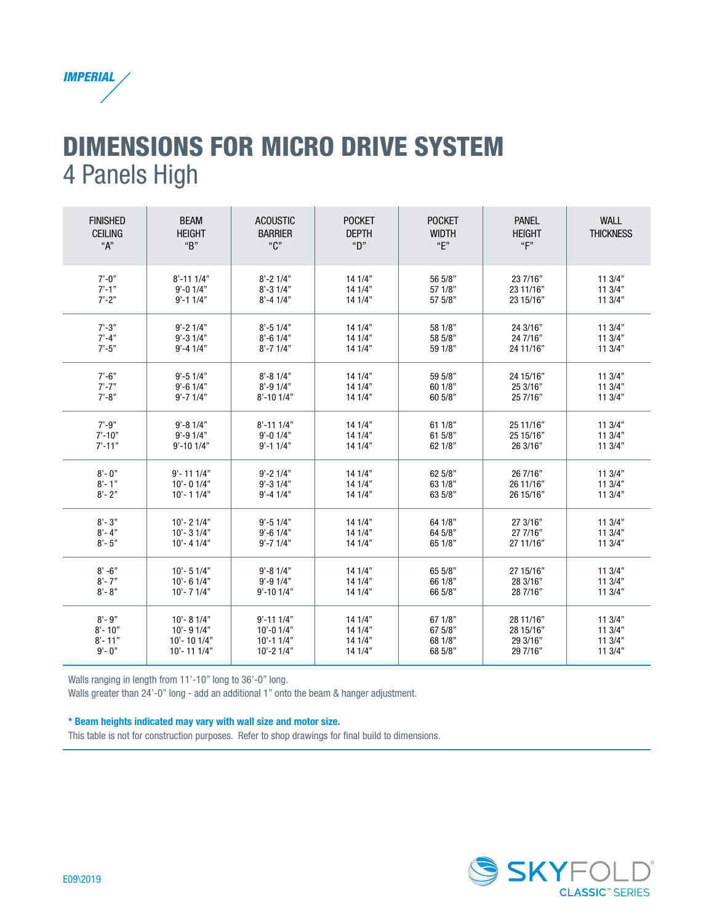

# DIMENSIONS FOR MICRO DRIVE SYSTEM 4 Panels High

| <b>FINISHED</b><br><b>CEILING</b><br>"А" | <b>BEAM</b><br><b>HEIGHT</b><br>"B" | <b>ACOUSTIC</b><br><b>BARRIER</b><br>"C" | <b>POCKET</b><br><b>DEPTH</b><br>"D" | <b>POCKET</b><br><b>WIDTH</b><br>"E" | <b>PANEL</b><br><b>HEIGHT</b><br>"F" | <b>WALL</b><br><b>THICKNESS</b> |
|------------------------------------------|-------------------------------------|------------------------------------------|--------------------------------------|--------------------------------------|--------------------------------------|---------------------------------|
| $7' - 0''$                               | $8' - 111/4"$                       | $8' - 21/4"$                             | 141/4"                               | 56 5/8"                              | 23 7/16"                             | 113/4"                          |
| $7' - 1''$                               | $9' - 0$ 1/4"                       | $8' - 31/4"$                             | 141/4"                               | 57 1/8"                              | 23 11/16"                            | 113/4"                          |
| $7' - 2"$                                | $9' - 11/4"$                        | $8' - 41/4"$                             | 14 1/4"                              | 57 5/8"                              | 23 15/16"                            | 113/4"                          |
| $7' - 3"$                                | $9' - 21/4"$                        | $8' - 51/4"$                             | 141/4"                               | 58 1/8"                              | 24 3/16"                             | 113/4"                          |
| $7' - 4"$                                | $9' - 31/4"$                        | $8' - 61/4"$                             | 141/4"                               | 58 5/8"                              | 24 7/16"                             | 113/4"                          |
| $7' - 5"$                                | $9' - 41/4"$                        | $8' - 71/4"$                             | 141/4"                               | 59 1/8"                              | 24 11/16"                            | 113/4"                          |
| $7' - 6"$                                | $9' - 51/4"$                        | $8' - 81/4"$                             | 141/4"                               | 59 5/8"                              | 24 15/16"                            | 113/4"                          |
| $7' - 7"$                                | $9' - 61/4"$                        | $8' - 91/4"$                             | 141/4"                               | 60 1/8"                              | 25 3/16"                             | 113/4"                          |
| $7' - 8"$                                | $9' - 71/4"$                        | $8' - 101/4"$                            | 141/4"                               | 60 5/8"                              | 25 7/16"                             | 113/4"                          |
| $7' - 9''$                               | $9' - 81/4"$                        | $8' - 111/4"$                            | 141/4"                               | 611/8"                               | 25 11/16"                            | 113/4"                          |
| $7' - 10"$                               | $9' - 91/4"$                        | $9' - 0$ $1/4"$                          | 141/4"                               | 61 5/8"                              | 25 15/16"                            | 11.3/4"                         |
| $7' - 11"$                               | $9' - 101/4"$                       | $9' - 11/4"$                             | 141/4"                               | 62 1/8"                              | 26 3/16"                             | 113/4"                          |
| $8 - 0$ "                                | $9' - 111/4"$                       | $9' - 21/4"$                             | 141/4"                               | 62 5/8"                              | 26 7/16"                             | 113/4"                          |
| $8 - 1"$                                 | $10' - 01/4"$                       | $9' - 31/4"$                             | 141/4"                               | 63 1/8"                              | 26 11/16"                            | 113/4"                          |
| $8 - 2"$                                 | $10' - 11/4"$                       | $9' - 41/4"$                             | 141/4"                               | 63 5/8"                              | 26 15/16"                            | 113/4"                          |
| $8 - 3"$                                 | $10' - 21/4"$                       | $9' - 51/4"$                             | 141/4"                               | 64 1/8"                              | 27 3/16"                             | 113/4"                          |
| $8 - 4"$                                 | $10' - 31/4"$                       | $9' - 6$ 1/4"                            | 141/4"                               | 64 5/8"                              | 27 7/16"                             | 113/4"                          |
| $8 - 5"$                                 | $10' - 41/4"$                       | $9' - 71/4"$                             | 141/4"                               | 65 1/8"                              | 27 11/16"                            | 113/4"                          |
| $8' - 6"$                                | $10' - 51/4"$                       | $9' - 81/4"$                             | 14 1/4"                              | 65 5/8"                              | 27 15/16"                            | 113/4"                          |
| $8 - 7"$                                 | $10' - 61/4"$                       | $9' - 91/4"$                             | 141/4"                               | 66 1/8"                              | 28 3/16"                             | 113/4"                          |
| $8 - 8"$                                 | $10' - 71/4"$                       | $9' - 101/4"$                            | 141/4"                               | 66 5/8"                              | 28 7/16"                             | 113/4"                          |
| $8 - 9"$                                 | $10' - 81/4"$                       | $9' - 111/4"$                            | 141/4"                               | 671/8"                               | 28 11/16"                            | 113/4"                          |
| $8' - 10''$                              | $10' - 91/4"$                       | $10' - 01/4"$                            | 141/4"                               | 67 5/8"                              | 28 15/16"                            | 113/4"                          |
| $8'$ - 11"                               | $10'$ - 10 1/4"                     | $10' - 11/4"$                            | 141/4"                               | 68 1/8"                              | 29.3/16"                             | 113/4"                          |
| $9' - 0''$                               | $10' - 111/4"$                      | $10' - 21/4"$                            | 141/4"                               | 68 5/8"                              | 29 7/16"                             | 113/4"                          |

Walls ranging in length from 11'-10" long to 36'-0" long.

Walls greater than 24'-0" long - add an additional 1" onto the beam & hanger adjustment.

#### \* Beam heights indicated may vary with wall size and motor size.